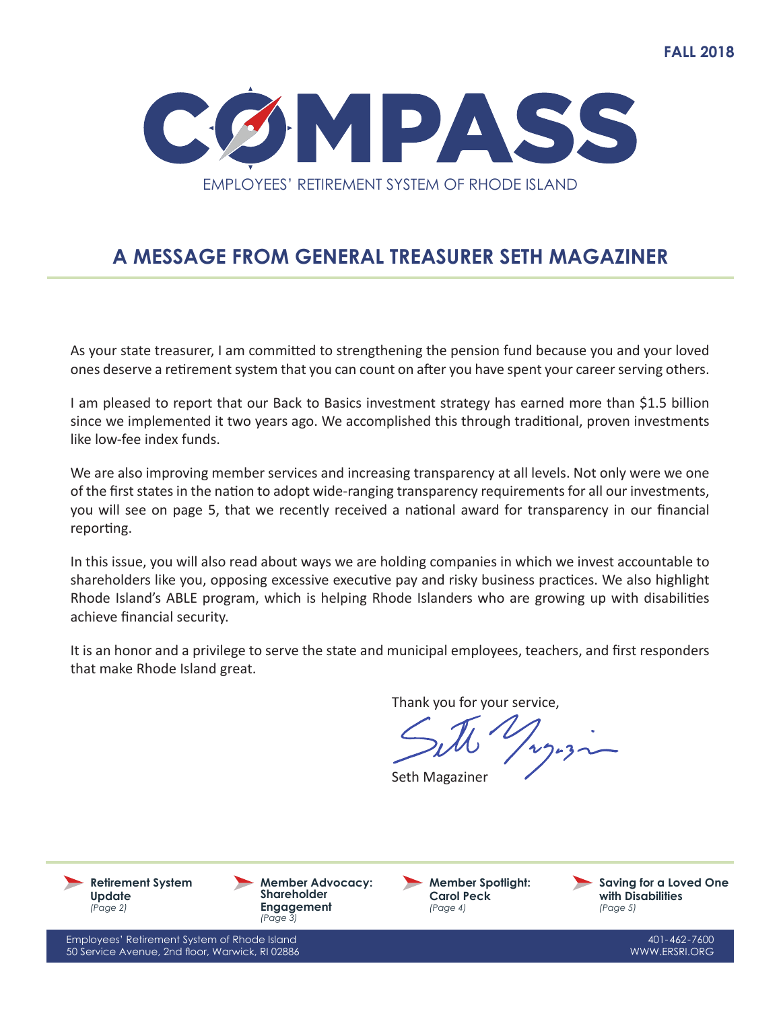

## **A MESSAGE FROM GENERAL TREASURER SETH MAGAZINER**

As your state treasurer, I am committed to strengthening the pension fund because you and your loved ones deserve a retirement system that you can count on after you have spent your career serving others.

I am pleased to report that our Back to Basics investment strategy has earned more than \$1.5 billion since we implemented it two years ago. We accomplished this through traditional, proven investments like low-fee index funds.

We are also improving member services and increasing transparency at all levels. Not only were we one of the first states in the nation to adopt wide-ranging transparency requirements for all our investments, you will see on page 5, that we recently received a national award for transparency in our financial reporting.

In this issue, you will also read about ways we are holding companies in which we invest accountable to shareholders like you, opposing excessive executive pay and risky business practices. We also highlight Rhode Island's ABLE program, which is helping Rhode Islanders who are growing up with disabilities achieve financial security.

It is an honor and a privilege to serve the state and municipal employees, teachers, and first responders that make Rhode Island great.

Thank you for your service,

Seth Magaziner

**Retirement System Update** *(Page 2)*

**Member Advocacy: Shareholder Engagement** *(Page 3)*

**Member Spotlight: Carol Peck** *(Page 4)*

**Saving for a Loved One with Disabilities** *(Page 5)*

Employees' Retirement System of Rhode Island 50 Service Avenue, 2nd floor, Warwick, RI 02886

401-462-7600 WWW.ERSRI.ORG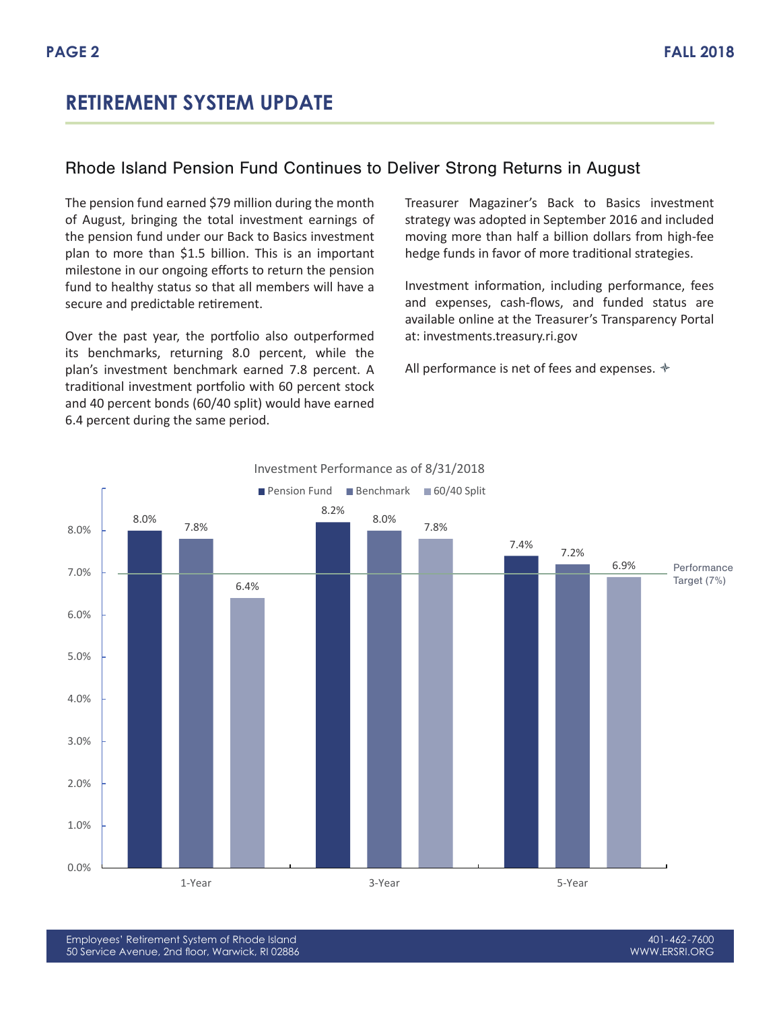## **RETIREMENT SYSTEM UPDATE**

#### Rhode Island Pension Fund Continues to Deliver Strong Returns in August

The pension fund earned \$79 million during the month of August, bringing the total investment earnings of the pension fund under our Back to Basics investment plan to more than \$1.5 billion. This is an important milestone in our ongoing efforts to return the pension fund to healthy status so that all members will have a secure and predictable retirement.

Over the past year, the portfolio also outperformed its benchmarks, returning 8.0 percent, while the plan's investment benchmark earned 7.8 percent. A traditional investment portfolio with 60 percent stock and 40 percent bonds (60/40 split) would have earned 6.4 percent during the same period.

Treasurer Magaziner's Back to Basics investment strategy was adopted in September 2016 and included moving more than half a billion dollars from high-fee hedge funds in favor of more traditional strategies.

Investment information, including performance, fees and expenses, cash-flows, and funded status are available online at the Treasurer's Transparency Portal at: investments.treasury.ri.gov

All performance is net of fees and expenses.  $\triangleleft$ 



#### Investment Performance as of 8/31/2018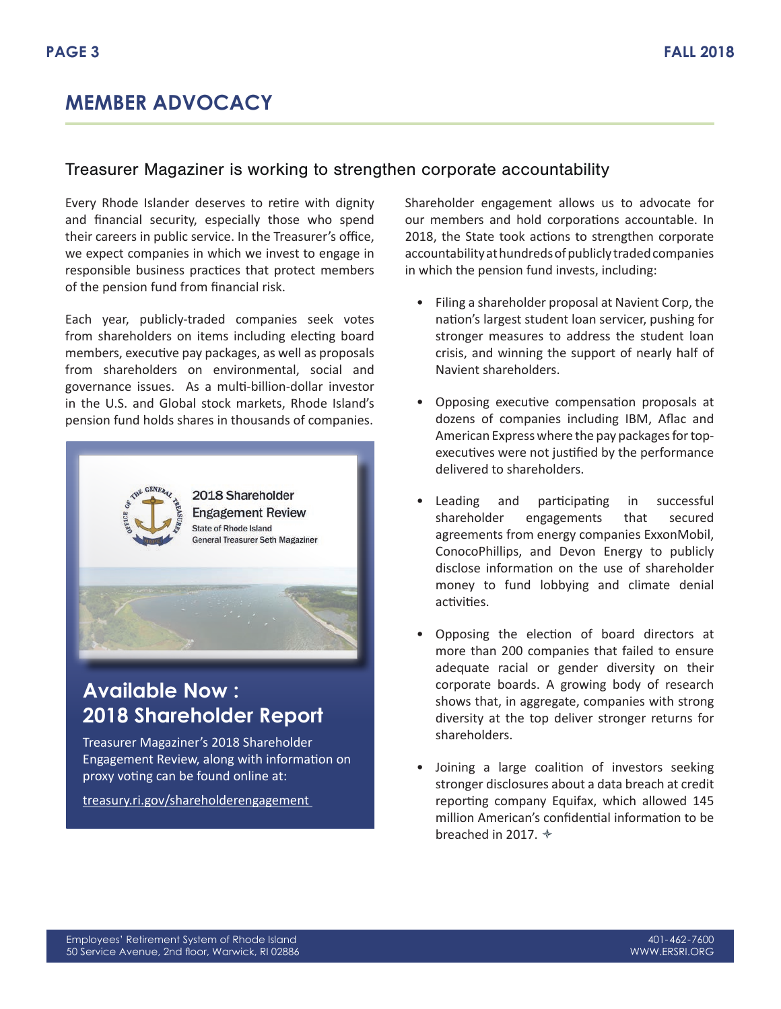## **MEMBER ADVOCACY**

#### Treasurer Magaziner is working to strengthen corporate accountability

Every Rhode Islander deserves to retire with dignity and financial security, especially those who spend their careers in public service. In the Treasurer's office, we expect companies in which we invest to engage in responsible business practices that protect members of the pension fund from financial risk.

Each year, publicly-traded companies seek votes from shareholders on items including electing board members, executive pay packages, as well as proposals from shareholders on environmental, social and governance issues. As a multi-billion-dollar investor in the U.S. and Global stock markets, Rhode Island's pension fund holds shares in thousands of companies.



## **Available Now : 2018 Shareholder Report**

Treasurer Magaziner's 2018 Shareholder Engagement Review, along with information on proxy voting can be found online at:

treasury.ri.gov/shareholderengagement

Shareholder engagement allows us to advocate for our members and hold corporations accountable. In 2018, the State took actions to strengthen corporate accountability at hundreds of publicly traded companies in which the pension fund invests, including:

- Filing a shareholder proposal at Navient Corp, the nation's largest student loan servicer, pushing for stronger measures to address the student loan crisis, and winning the support of nearly half of Navient shareholders.
- Opposing executive compensation proposals at dozens of companies including IBM, Aflac and American Express where the pay packages for topexecutives were not justified by the performance delivered to shareholders.
- Leading and participating in successful shareholder engagements that secured agreements from energy companies ExxonMobil, ConocoPhillips, and Devon Energy to publicly disclose information on the use of shareholder money to fund lobbying and climate denial activities.
- Opposing the election of board directors at more than 200 companies that failed to ensure adequate racial or gender diversity on their corporate boards. A growing body of research shows that, in aggregate, companies with strong diversity at the top deliver stronger returns for shareholders.
- Joining a large coalition of investors seeking stronger disclosures about a data breach at credit reporting company Equifax, which allowed 145 million American's confidential information to be breached in 2017.  $*$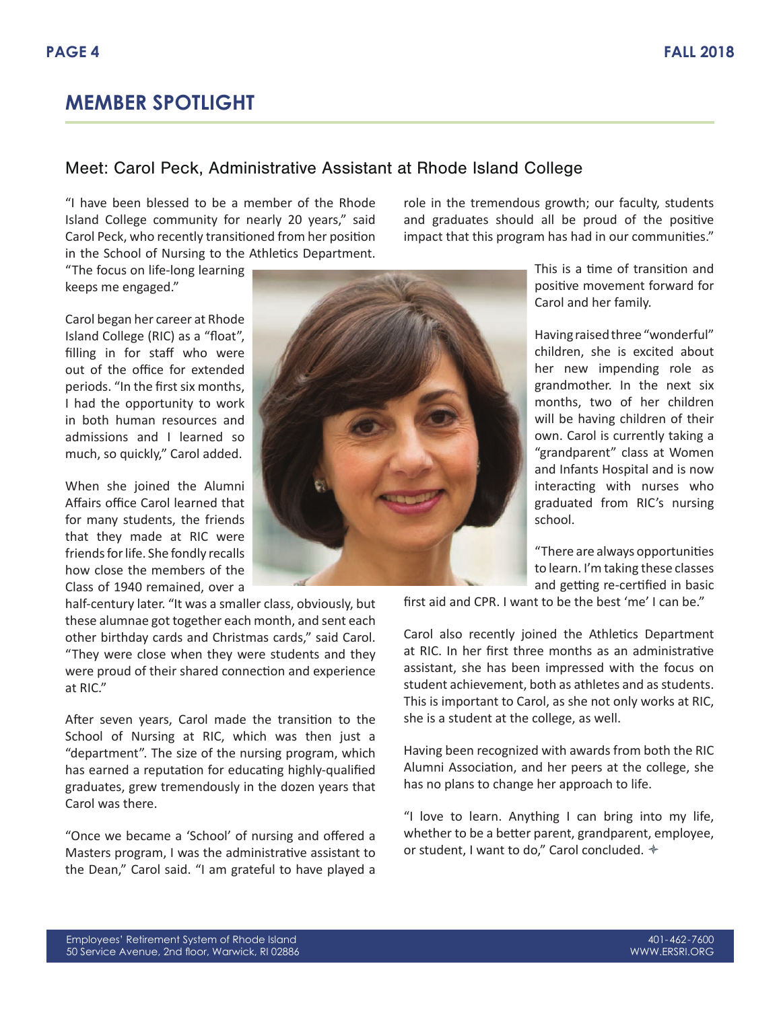#### Meet: Carol Peck, Administrative Assistant at Rhode Island College

"I have been blessed to be a member of the Rhode Island College community for nearly 20 years," said Carol Peck, who recently transitioned from her position in the School of Nursing to the Athletics Department.

"The focus on life-long learning keeps me engaged."

Carol began her career at Rhode Island College (RIC) as a "float", filling in for staff who were out of the office for extended periods. "In the first six months, I had the opportunity to work in both human resources and admissions and I learned so much, so quickly," Carol added.

When she joined the Alumni Affairs office Carol learned that for many students, the friends that they made at RIC were friends for life. She fondly recalls how close the members of the Class of 1940 remained, over a



role in the tremendous growth; our faculty, students and graduates should all be proud of the positive impact that this program has had in our communities."

> This is a time of transition and positive movement forward for Carol and her family.

Having raised three "wonderful" children, she is excited about her new impending role as grandmother. In the next six months, two of her children will be having children of their own. Carol is currently taking a "grandparent" class at Women and Infants Hospital and is now interacting with nurses who graduated from RIC's nursing school.

"There are always opportunities to learn. I'm taking these classes and getting re-certified in basic

first aid and CPR. I want to be the best 'me' I can be."

Carol also recently joined the Athletics Department at RIC. In her first three months as an administrative assistant, she has been impressed with the focus on student achievement, both as athletes and as students. This is important to Carol, as she not only works at RIC, she is a student at the college, as well.

Having been recognized with awards from both the RIC Alumni Association, and her peers at the college, she has no plans to change her approach to life.

"I love to learn. Anything I can bring into my life, whether to be a better parent, grandparent, employee, or student, I want to do," Carol concluded.  $\triangleleft$ 

half-century later. "It was a smaller class, obviously, but these alumnae got together each month, and sent each other birthday cards and Christmas cards," said Carol. "They were close when they were students and they were proud of their shared connection and experience at RIC."

After seven years, Carol made the transition to the School of Nursing at RIC, which was then just a "department". The size of the nursing program, which has earned a reputation for educating highly-qualified graduates, grew tremendously in the dozen years that Carol was there.

"Once we became a 'School' of nursing and offered a Masters program, I was the administrative assistant to the Dean," Carol said. "I am grateful to have played a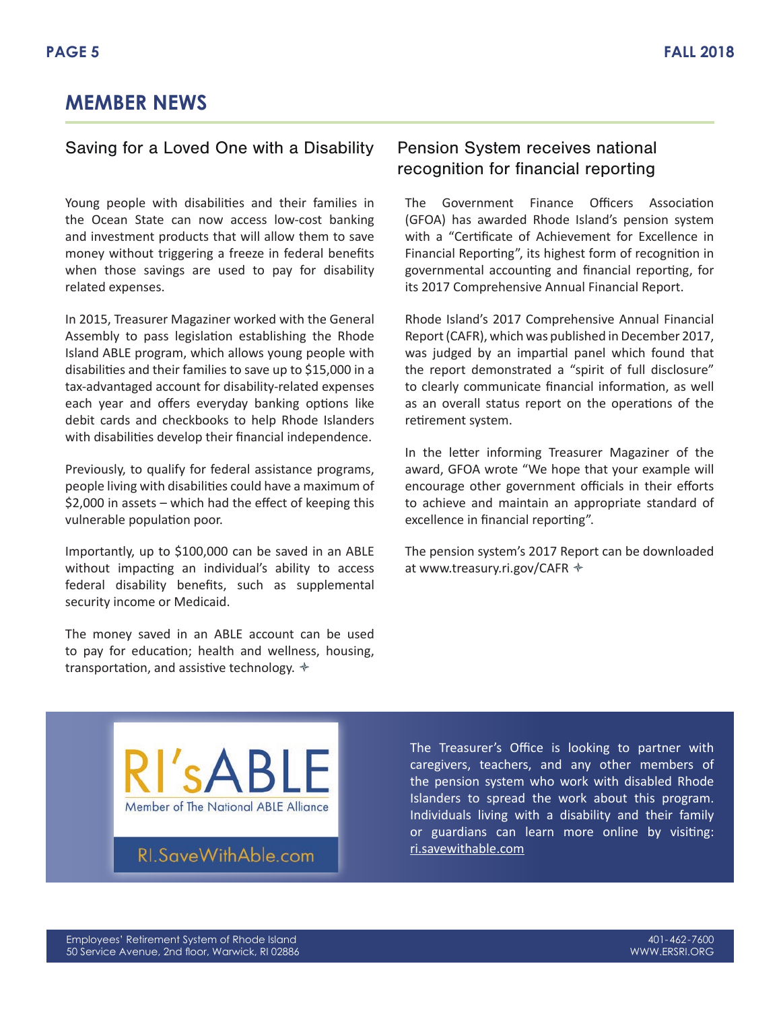## **MEMBER NEWS**

#### Saving for a Loved One with a Disability Pension System receives national

Young people with disabilities and their families in the Ocean State can now access low-cost banking and investment products that will allow them to save money without triggering a freeze in federal benefits when those savings are used to pay for disability related expenses.

In 2015, Treasurer Magaziner worked with the General Assembly to pass legislation establishing the Rhode Island ABLE program, which allows young people with disabilities and their families to save up to \$15,000 in a tax-advantaged account for disability-related expenses each year and offers everyday banking options like debit cards and checkbooks to help Rhode Islanders with disabilities develop their financial independence.

Previously, to qualify for federal assistance programs, people living with disabilities could have a maximum of \$2,000 in assets – which had the effect of keeping this vulnerable population poor.

Importantly, up to \$100,000 can be saved in an ABLE without impacting an individual's ability to access federal disability benefits, such as supplemental security income or Medicaid.

The money saved in an ABLE account can be used to pay for education; health and wellness, housing, transportation, and assistive technology.  $\triangle$ 

# recognition for financial reporting

The Government Finance Officers Association (GFOA) has awarded Rhode Island's pension system with a "Certificate of Achievement for Excellence in Financial Reporting", its highest form of recognition in governmental accounting and financial reporting, for its 2017 Comprehensive Annual Financial Report.

Rhode Island's 2017 Comprehensive Annual Financial Report (CAFR), which was published in December 2017, was judged by an impartial panel which found that the report demonstrated a "spirit of full disclosure" to clearly communicate financial information, as well as an overall status report on the operations of the retirement system.

In the letter informing Treasurer Magaziner of the award, GFOA wrote "We hope that your example will encourage other government officials in their efforts to achieve and maintain an appropriate standard of excellence in financial reporting".

The pension system's 2017 Report can be downloaded at www.treasury.ri.gov/CAFR



## RI.SaveWithAble.com

The Treasurer's Office is looking to partner with caregivers, teachers, and any other members of the pension system who work with disabled Rhode Islanders to spread the work about this program. Individuals living with a disability and their family or guardians can learn more online by visiting: ri.savewithable.com